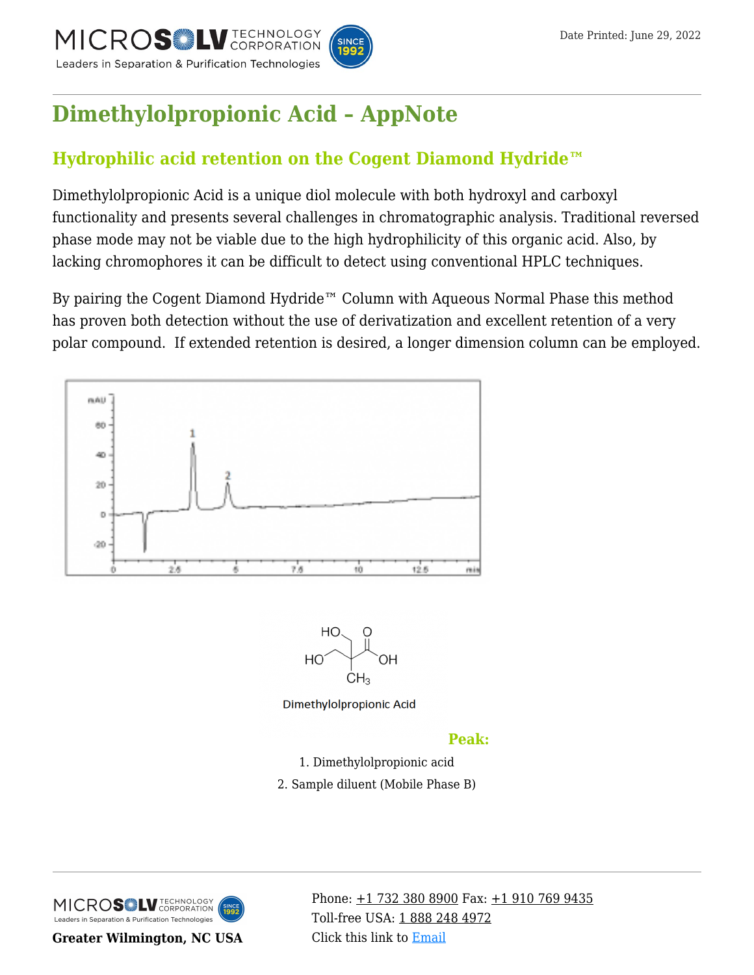

## **[Dimethylolpropionic Acid – AppNote](https://kb.mtc-usa.com/article/aa-03872/46/)**

## **Hydrophilic acid retention on the Cogent Diamond Hydride™**

Dimethylolpropionic Acid is a unique diol molecule with both hydroxyl and carboxyl functionality and presents several challenges in chromatographic analysis. Traditional reversed phase mode may not be viable due to the high hydrophilicity of this organic acid. Also, by lacking chromophores it can be difficult to detect using conventional HPLC techniques.

By pairing the Cogent Diamond Hydride™ Column with Aqueous Normal Phase this method has proven both detection without the use of derivatization and excellent retention of a very polar compound. If extended retention is desired, a longer dimension column can be employed.



2. Sample diluent (Mobile Phase B)

MICROS LU TECHNOLOGY Leaders in Separation & Purification Technologies

**Greater Wilmington, NC USA**

Phone:  $\pm$ 1 732 380 8900 Fax:  $\pm$ 1 910 769 9435 Toll-free USA: [1 888 248 4972](#page--1-0) Click this link to [Email](https://www.mtc-usa.com/contact)